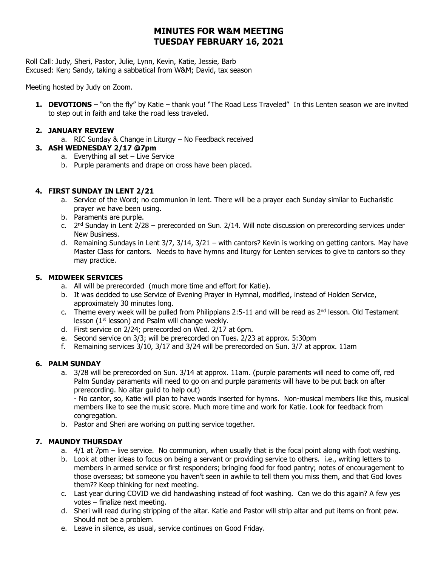# **MINUTES FOR W&M MEETING TUESDAY FEBRUARY 16, 2021**

Roll Call: Judy, Sheri, Pastor, Julie, Lynn, Kevin, Katie, Jessie, Barb Excused: Ken; Sandy, taking a sabbatical from W&M; David, tax season

Meeting hosted by Judy on Zoom.

**1. DEVOTIONS** – "on the fly" by Katie – thank you! "The Road Less Traveled" In this Lenten season we are invited to step out in faith and take the road less traveled.

#### **2. JANUARY REVIEW**

a. RIC Sunday & Change in Liturgy – No Feedback received

# **3. ASH WEDNESDAY 2/17 @7pm**

- a. Everything all set Live Service
- b. Purple paraments and drape on cross have been placed.

#### **4. FIRST SUNDAY IN LENT 2/21**

- a. Service of the Word; no communion in lent. There will be a prayer each Sunday similar to Eucharistic prayer we have been using.
- b. Paraments are purple.
- c.  $2<sup>nd</sup>$  Sunday in Lent 2/28 prerecorded on Sun. 2/14. Will note discussion on prerecording services under New Business.
- d. Remaining Sundays in Lent 3/7, 3/14, 3/21 with cantors? Kevin is working on getting cantors. May have Master Class for cantors. Needs to have hymns and liturgy for Lenten services to give to cantors so they may practice.

#### **5. MIDWEEK SERVICES**

- a. All will be prerecorded (much more time and effort for Katie).
- b. It was decided to use Service of Evening Prayer in Hymnal, modified, instead of Holden Service, approximately 30 minutes long.
- c. Theme every week will be pulled from Philippians 2:5-11 and will be read as  $2^{nd}$  lesson. Old Testament lesson (1st lesson) and Psalm will change weekly.
- d. First service on 2/24; prerecorded on Wed. 2/17 at 6pm.
- e. Second service on 3/3; will be prerecorded on Tues. 2/23 at approx. 5:30pm
- f. Remaining services 3/10, 3/17 and 3/24 will be prerecorded on Sun. 3/7 at approx. 11am

# **6. PALM SUNDAY**

a. 3/28 will be prerecorded on Sun. 3/14 at approx. 11am. (purple paraments will need to come off, red Palm Sunday paraments will need to go on and purple paraments will have to be put back on after prerecording. No altar guild to help out)

- No cantor, so, Katie will plan to have words inserted for hymns. Non-musical members like this, musical members like to see the music score. Much more time and work for Katie. Look for feedback from congregation.

b. Pastor and Sheri are working on putting service together.

# **7. MAUNDY THURSDAY**

- a. 4/1 at 7pm live service. No communion, when usually that is the focal point along with foot washing.
- b. Look at other ideas to focus on being a servant or providing service to others. i.e., writing letters to members in armed service or first responders; bringing food for food pantry; notes of encouragement to those overseas; txt someone you haven't seen in awhile to tell them you miss them, and that God loves them?? Keep thinking for next meeting.
- c. Last year during COVID we did handwashing instead of foot washing. Can we do this again? A few yes votes – finalize next meeting.
- d. Sheri will read during stripping of the altar. Katie and Pastor will strip altar and put items on front pew. Should not be a problem.
- e. Leave in silence, as usual, service continues on Good Friday.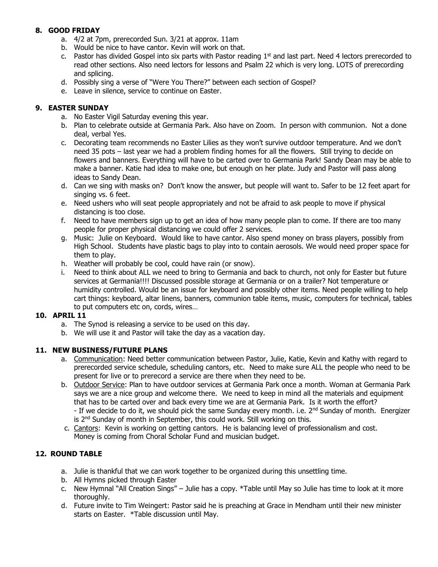# **8. GOOD FRIDAY**

- a. 4/2 at 7pm, prerecorded Sun. 3/21 at approx. 11am
- b. Would be nice to have cantor. Kevin will work on that.
- c. Pastor has divided Gospel into six parts with Pastor reading  $1<sup>st</sup>$  and last part. Need 4 lectors prerecorded to read other sections. Also need lectors for lessons and Psalm 22 which is very long. LOTS of prerecording and splicing.
- d. Possibly sing a verse of "Were You There?" between each section of Gospel?
- e. Leave in silence, service to continue on Easter.

# **9. EASTER SUNDAY**

- a. No Easter Vigil Saturday evening this year.
- b. Plan to celebrate outside at Germania Park. Also have on Zoom. In person with communion. Not a done deal, verbal Yes.
- c. Decorating team recommends no Easter Lilies as they won't survive outdoor temperature. And we don't need 35 pots – last year we had a problem finding homes for all the flowers. Still trying to decide on flowers and banners. Everything will have to be carted over to Germania Park! Sandy Dean may be able to make a banner. Katie had idea to make one, but enough on her plate. Judy and Pastor will pass along ideas to Sandy Dean.
- d. Can we sing with masks on? Don't know the answer, but people will want to. Safer to be 12 feet apart for singing vs. 6 feet.
- e. Need ushers who will seat people appropriately and not be afraid to ask people to move if physical distancing is too close.
- f. Need to have members sign up to get an idea of how many people plan to come. If there are too many people for proper physical distancing we could offer 2 services.
- g. Music: Julie on Keyboard. Would like to have cantor. Also spend money on brass players, possibly from High School. Students have plastic bags to play into to contain aerosols. We would need proper space for them to play.
- h. Weather will probably be cool, could have rain (or snow).
- i. Need to think about ALL we need to bring to Germania and back to church, not only for Easter but future services at Germania!!!! Discussed possible storage at Germania or on a trailer? Not temperature or humidity controlled. Would be an issue for keyboard and possibly other items. Need people willing to help cart things: keyboard, altar linens, banners, communion table items, music, computers for technical, tables to put computers etc on, cords, wires…

# **10. APRIL 11**

- a. The Synod is releasing a service to be used on this day.
- b. We will use it and Pastor will take the day as a vacation day.

# **11. NEW BUSINESS/FUTURE PLANS**

- a. Communication: Need better communication between Pastor, Julie, Katie, Kevin and Kathy with regard to prerecorded service schedule, scheduling cantors, etc. Need to make sure ALL the people who need to be present for live or to prerecord a service are there when they need to be.
- b. Outdoor Service: Plan to have outdoor services at Germania Park once a month. Woman at Germania Park says we are a nice group and welcome there. We need to keep in mind all the materials and equipment that has to be carted over and back every time we are at Germania Park. Is it worth the effort? - If we decide to do it, we should pick the same Sunday every month. i.e.  $2^{nd}$  Sunday of month. Energizer is  $2<sup>nd</sup>$  Sunday of month in September, this could work. Still working on this.
- c. Cantors: Kevin is working on getting cantors. He is balancing level of professionalism and cost. Money is coming from Choral Scholar Fund and musician budget.

# **12. ROUND TABLE**

- a. Julie is thankful that we can work together to be organized during this unsettling time.
- b. All Hymns picked through Easter
- c. New Hymnal "All Creation Sings" Julie has a copy. \*Table until May so Julie has time to look at it more thoroughly.
- d. Future invite to Tim Weingert: Pastor said he is preaching at Grace in Mendham until their new minister starts on Easter. \*Table discussion until May.